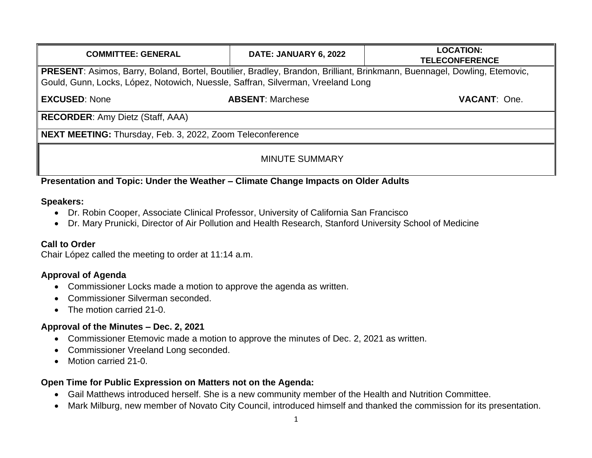| <b>COMMITTEE: GENERAL</b>                                                                                                                                                                                   | DATE: JANUARY 6, 2022   | <b>LOCATION:</b><br><b>TELECONFERENCE</b> |
|-------------------------------------------------------------------------------------------------------------------------------------------------------------------------------------------------------------|-------------------------|-------------------------------------------|
| PRESENT: Asimos, Barry, Boland, Bortel, Boutilier, Bradley, Brandon, Brilliant, Brinkmann, Buennagel, Dowling, Etemovic,<br>Gould, Gunn, Locks, López, Notowich, Nuessle, Saffran, Silverman, Vreeland Long |                         |                                           |
| <b>EXCUSED: None</b>                                                                                                                                                                                        | <b>ABSENT: Marchese</b> | <b>VACANT: One.</b>                       |
| <b>RECORDER:</b> Amy Dietz (Staff, AAA)                                                                                                                                                                     |                         |                                           |
| NEXT MEETING: Thursday, Feb. 3, 2022, Zoom Teleconference                                                                                                                                                   |                         |                                           |
| <b>MINUTE SUMMARY</b>                                                                                                                                                                                       |                         |                                           |

## **Presentation and Topic: Under the Weather – Climate Change Impacts on Older Adults**

#### **Speakers:**

- Dr. Robin Cooper, Associate Clinical Professor, University of California San Francisco
- Dr. Mary Prunicki, Director of Air Pollution and Health Research, Stanford University School of Medicine

#### **Call to Order**

Chair López called the meeting to order at 11:14 a.m.

## **Approval of Agenda**

- Commissioner Locks made a motion to approve the agenda as written.
- Commissioner Silverman seconded.
- The motion carried 21-0.

## **Approval of the Minutes – Dec. 2, 2021**

- Commissioner Etemovic made a motion to approve the minutes of Dec. 2, 2021 as written.
- Commissioner Vreeland Long seconded.
- Motion carried 21-0.

#### **Open Time for Public Expression on Matters not on the Agenda:**

- Gail Matthews introduced herself. She is a new community member of the Health and Nutrition Committee.
- Mark Milburg, new member of Novato City Council, introduced himself and thanked the commission for its presentation.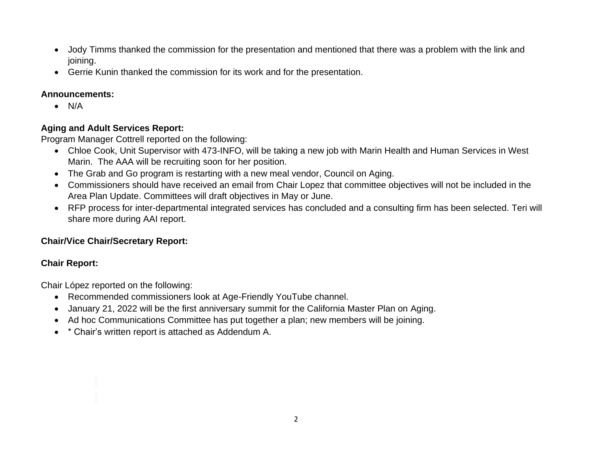- Jody Timms thanked the commission for the presentation and mentioned that there was a problem with the link and joining.
- Gerrie Kunin thanked the commission for its work and for the presentation.

# **Announcements:**

• N/A

# **Aging and Adult Services Report:**

Program Manager Cottrell reported on the following:

- Chloe Cook, Unit Supervisor with 473-INFO, will be taking a new job with Marin Health and Human Services in West Marin. The AAA will be recruiting soon for her position.
- The Grab and Go program is restarting with a new meal vendor, Council on Aging.
- Commissioners should have received an email from Chair Lopez that committee objectives will not be included in the Area Plan Update. Committees will draft objectives in May or June.
- RFP process for inter-departmental integrated services has concluded and a consulting firm has been selected. Teri will share more during AAI report.

# **Chair/Vice Chair/Secretary Report:**

# **Chair Report:**

Chair López reported on the following:

- Recommended commissioners look at Age-Friendly YouTube channel.
- January 21, 2022 will be the first anniversary summit for the California Master Plan on Aging.
- Ad hoc Communications Committee has put together a plan; new members will be joining.
- \* Chair's written report is attached as Addendum A.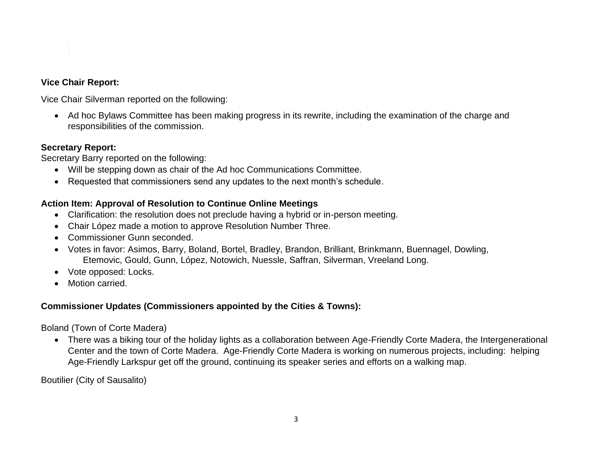### **Vice Chair Report:**

Vice Chair Silverman reported on the following:

• Ad hoc Bylaws Committee has been making progress in its rewrite, including the examination of the charge and responsibilities of the commission.

### **Secretary Report:**

Secretary Barry reported on the following:

- Will be stepping down as chair of the Ad hoc Communications Committee.
- Requested that commissioners send any updates to the next month's schedule.

# **Action Item: Approval of Resolution to Continue Online Meetings**

- Clarification: the resolution does not preclude having a hybrid or in-person meeting.
- Chair López made a motion to approve Resolution Number Three.
- Commissioner Gunn seconded.
- Votes in favor: Asimos, Barry, Boland, Bortel, Bradley, Brandon, Brilliant, Brinkmann, Buennagel, Dowling, Etemovic, Gould, Gunn, López, Notowich, Nuessle, Saffran, Silverman, Vreeland Long.
- Vote opposed: Locks.
- Motion carried.

# **Commissioner Updates (Commissioners appointed by the Cities & Towns):**

Boland (Town of Corte Madera)

• There was a biking tour of the holiday lights as a collaboration between Age-Friendly Corte Madera, the Intergenerational Center and the town of Corte Madera. Age-Friendly Corte Madera is working on numerous projects, including: helping Age-Friendly Larkspur get off the ground, continuing its speaker series and efforts on a walking map.

Boutilier (City of Sausalito)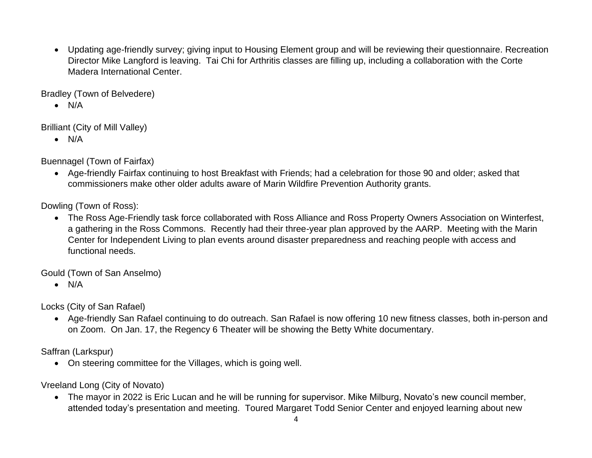• Updating age-friendly survey; giving input to Housing Element group and will be reviewing their questionnaire. Recreation Director Mike Langford is leaving. Tai Chi for Arthritis classes are filling up, including a collaboration with the Corte Madera International Center.

Bradley (Town of Belvedere)

 $\bullet$  N/A

Brilliant (City of Mill Valley)

 $\bullet$  N/A

Buennagel (Town of Fairfax)

• Age-friendly Fairfax continuing to host Breakfast with Friends; had a celebration for those 90 and older; asked that commissioners make other older adults aware of Marin Wildfire Prevention Authority grants.

Dowling (Town of Ross):

• The Ross Age-Friendly task force collaborated with Ross Alliance and Ross Property Owners Association on Winterfest, a gathering in the Ross Commons. Recently had their three-year plan approved by the AARP. Meeting with the Marin Center for Independent Living to plan events around disaster preparedness and reaching people with access and functional needs.

Gould (Town of San Anselmo)

• N/A

Locks (City of San Rafael)

• Age-friendly San Rafael continuing to do outreach. San Rafael is now offering 10 new fitness classes, both in-person and on Zoom. On Jan. 17, the Regency 6 Theater will be showing the Betty White documentary.

Saffran (Larkspur)

• On steering committee for the Villages, which is going well.

Vreeland Long (City of Novato)

• The mayor in 2022 is Eric Lucan and he will be running for supervisor. Mike Milburg, Novato's new council member, attended today's presentation and meeting. Toured Margaret Todd Senior Center and enjoyed learning about new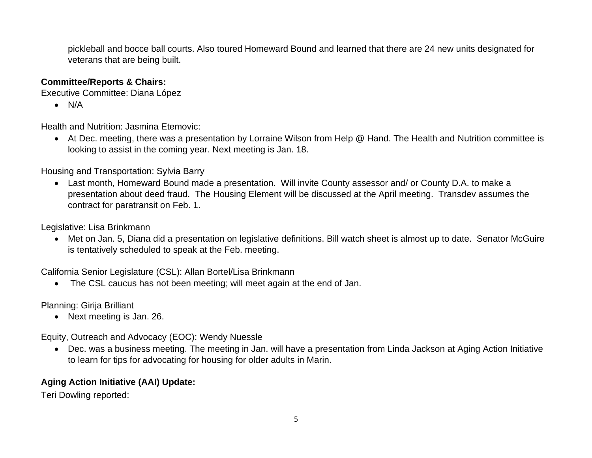pickleball and bocce ball courts. Also toured Homeward Bound and learned that there are 24 new units designated for veterans that are being built.

#### **Committee/Reports & Chairs:**

Executive Committee: Diana López

• N/A

Health and Nutrition: Jasmina Etemovic:

• At Dec. meeting, there was a presentation by Lorraine Wilson from Help @ Hand. The Health and Nutrition committee is looking to assist in the coming year. Next meeting is Jan. 18.

Housing and Transportation: Sylvia Barry

• Last month, Homeward Bound made a presentation. Will invite County assessor and/ or County D.A. to make a presentation about deed fraud. The Housing Element will be discussed at the April meeting. Transdev assumes the contract for paratransit on Feb. 1.

Legislative: Lisa Brinkmann

• Met on Jan. 5, Diana did a presentation on legislative definitions. Bill watch sheet is almost up to date. Senator McGuire is tentatively scheduled to speak at the Feb. meeting.

California Senior Legislature (CSL): Allan Bortel/Lisa Brinkmann

• The CSL caucus has not been meeting; will meet again at the end of Jan.

Planning: Girija Brilliant

• Next meeting is Jan. 26.

Equity, Outreach and Advocacy (EOC): Wendy Nuessle

• Dec. was a business meeting. The meeting in Jan. will have a presentation from Linda Jackson at Aging Action Initiative to learn for tips for advocating for housing for older adults in Marin.

## **Aging Action Initiative (AAI) Update:**

Teri Dowling reported: